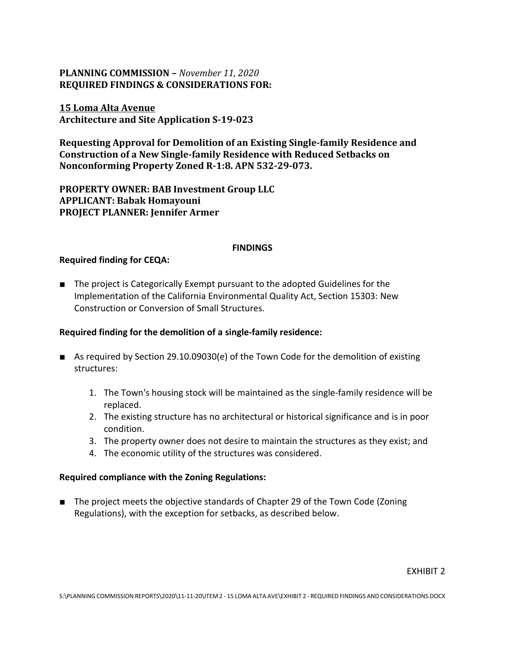# **PLANNING COMMISSION –** *November 11, 2020* **REQUIRED FINDINGS & CONSIDERATIONS FOR:**

# **15 Loma Alta Avenue Architecture and Site Application S-19-023**

**Requesting Approval for Demolition of an Existing Single-family Residence and Construction of a New Single-family Residence with Reduced Setbacks on Nonconforming Property Zoned R-1:8. APN 532-29-073.**

**PROPERTY OWNER: BAB Investment Group LLC APPLICANT: Babak Homayouni PROJECT PLANNER: Jennifer Armer**

### **FINDINGS**

### **Required finding for CEQA:**

■ The project is Categorically Exempt pursuant to the adopted Guidelines for the Implementation of the California Environmental Quality Act, Section 15303: New Construction or Conversion of Small Structures.

## **Required finding for the demolition of a single-family residence:**

- As required by Section 29.10.09030(e) of the Town Code for the demolition of existing structures:
	- 1. The Town's housing stock will be maintained as the single-family residence will be replaced.
	- 2. The existing structure has no architectural or historical significance and is in poor condition.
	- 3. The property owner does not desire to maintain the structures as they exist; and
	- 4. The economic utility of the structures was considered.

#### **Required compliance with the Zoning Regulations:**

■ The project meets the objective standards of Chapter 29 of the Town Code (Zoning Regulations), with the exception for setbacks, as described below.